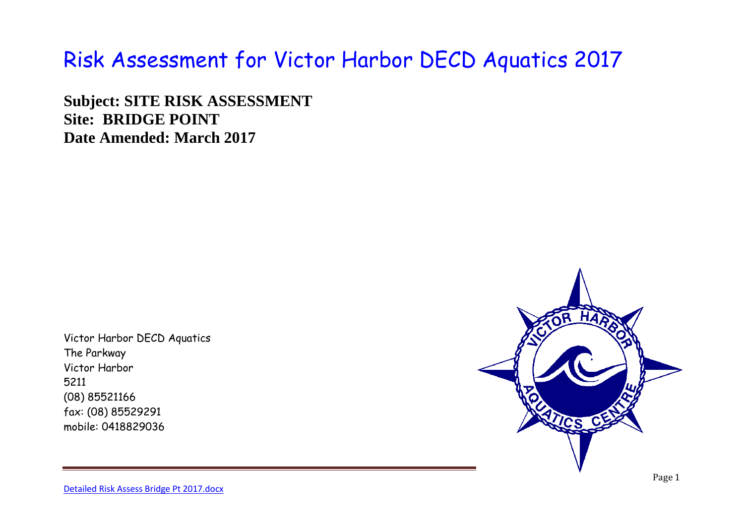## Risk Assessment for Victor Harbor DECD Aquatics 2017

**Subject: SITE RISK ASSESSMENT Site: BRIDGE POINT Date Amended: March 2017**

Victor Harbor DECD Aquatics The Parkway Victor Harbor 5211 (08) 85521166 fax: (08) 85529291 mobile: 0418829036



[Detailed Risk Assess Bridge Pt 2017.docx](file://///ADLEDU0453/School/Aquatics/Risk%20assessments%202017/Detailed%20Risk%20Assess%20Bridge%20Pt%202017.docx)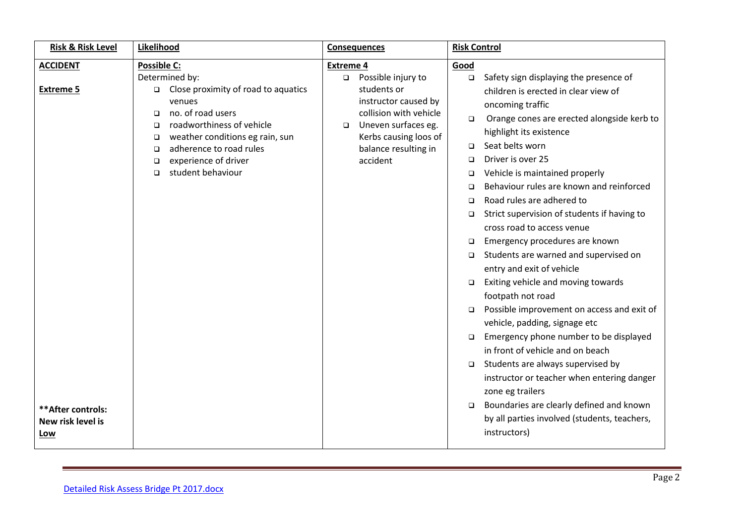| <b>Risk &amp; Risk Level</b> | Likelihood                                    | <b>Consequences</b>                            | <b>Risk Control</b>                                  |  |
|------------------------------|-----------------------------------------------|------------------------------------------------|------------------------------------------------------|--|
| <b>ACCIDENT</b>              | Possible C:                                   | <b>Extreme 4</b>                               | Good                                                 |  |
|                              | Determined by:                                | □ Possible injury to                           | Safety sign displaying the presence of<br>$\Box$     |  |
| <b>Extreme 5</b>             | Close proximity of road to aquatics<br>$\Box$ | students or                                    | children is erected in clear view of                 |  |
|                              | venues<br>no. of road users                   | instructor caused by<br>collision with vehicle | oncoming traffic                                     |  |
|                              | □<br>roadworthiness of vehicle<br>$\Box$      | Uneven surfaces eg.<br>$\Box$                  | Orange cones are erected alongside kerb to<br>$\Box$ |  |
|                              | weather conditions eg rain, sun<br>□          | Kerbs causing loos of                          | highlight its existence                              |  |
|                              | adherence to road rules<br>□                  | balance resulting in                           | Seat belts worn<br>$\Box$                            |  |
|                              | experience of driver<br>□                     | accident                                       | Driver is over 25<br>□                               |  |
|                              | student behaviour<br>$\Box$                   |                                                | Vehicle is maintained properly<br>□                  |  |
|                              |                                               |                                                | Behaviour rules are known and reinforced<br>□        |  |
|                              |                                               |                                                | Road rules are adhered to<br>$\Box$                  |  |
|                              |                                               |                                                | Strict supervision of students if having to<br>□     |  |
|                              |                                               |                                                | cross road to access venue                           |  |
|                              |                                               |                                                | Emergency procedures are known<br>□                  |  |
|                              |                                               |                                                | Students are warned and supervised on<br>□           |  |
|                              |                                               |                                                | entry and exit of vehicle                            |  |
|                              |                                               |                                                | Exiting vehicle and moving towards<br>$\Box$         |  |
|                              |                                               |                                                | footpath not road                                    |  |
|                              |                                               |                                                | Possible improvement on access and exit of<br>$\Box$ |  |
|                              |                                               |                                                | vehicle, padding, signage etc                        |  |
|                              |                                               |                                                | Emergency phone number to be displayed<br>□          |  |
|                              |                                               |                                                | in front of vehicle and on beach                     |  |
|                              |                                               |                                                | Students are always supervised by<br>$\Box$          |  |
|                              |                                               |                                                | instructor or teacher when entering danger           |  |
|                              |                                               |                                                | zone eg trailers                                     |  |
| ** After controls:           |                                               |                                                | Boundaries are clearly defined and known<br>$\Box$   |  |
| New risk level is            |                                               |                                                | by all parties involved (students, teachers,         |  |
| <u>Low</u>                   |                                               |                                                | instructors)                                         |  |
|                              |                                               |                                                |                                                      |  |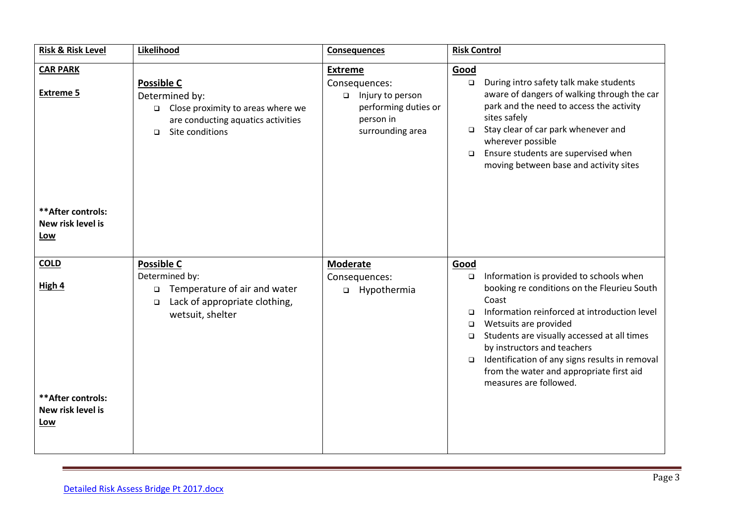| <b>Risk &amp; Risk Level</b>                   | Likelihood                                                                                                                                         | <b>Consequences</b>                                                                                            | <b>Risk Control</b>                                                                                                                                                                                                                                                                                                                                                                                                                      |
|------------------------------------------------|----------------------------------------------------------------------------------------------------------------------------------------------------|----------------------------------------------------------------------------------------------------------------|------------------------------------------------------------------------------------------------------------------------------------------------------------------------------------------------------------------------------------------------------------------------------------------------------------------------------------------------------------------------------------------------------------------------------------------|
| <b>CAR PARK</b><br><b>Extreme 5</b>            | <b>Possible C</b><br>Determined by:<br>$\Box$ Close proximity to areas where we<br>are conducting aquatics activities<br>Site conditions<br>$\Box$ | <b>Extreme</b><br>Consequences:<br>□ Injury to person<br>performing duties or<br>person in<br>surrounding area | Good<br>During intro safety talk make students<br>$\Box$<br>aware of dangers of walking through the car<br>park and the need to access the activity<br>sites safely<br>Stay clear of car park whenever and<br>$\Box$<br>wherever possible<br>Ensure students are supervised when<br>$\Box$<br>moving between base and activity sites                                                                                                     |
| ** After controls:<br>New risk level is<br>Low |                                                                                                                                                    |                                                                                                                |                                                                                                                                                                                                                                                                                                                                                                                                                                          |
| <b>COLD</b><br>High 4                          | <b>Possible C</b><br>Determined by:<br>Temperature of air and water<br>$\Box$<br>Lack of appropriate clothing,<br>$\Box$<br>wetsuit, shelter       | <b>Moderate</b><br>Consequences:<br>□ Hypothermia                                                              | Good<br>Information is provided to schools when<br>$\Box$<br>booking re conditions on the Fleurieu South<br>Coast<br>Information reinforced at introduction level<br>$\Box$<br>Wetsuits are provided<br>$\Box$<br>Students are visually accessed at all times<br>$\Box$<br>by instructors and teachers<br>Identification of any signs results in removal<br>$\Box$<br>from the water and appropriate first aid<br>measures are followed. |
| ** After controls:<br>New risk level is<br>Low |                                                                                                                                                    |                                                                                                                |                                                                                                                                                                                                                                                                                                                                                                                                                                          |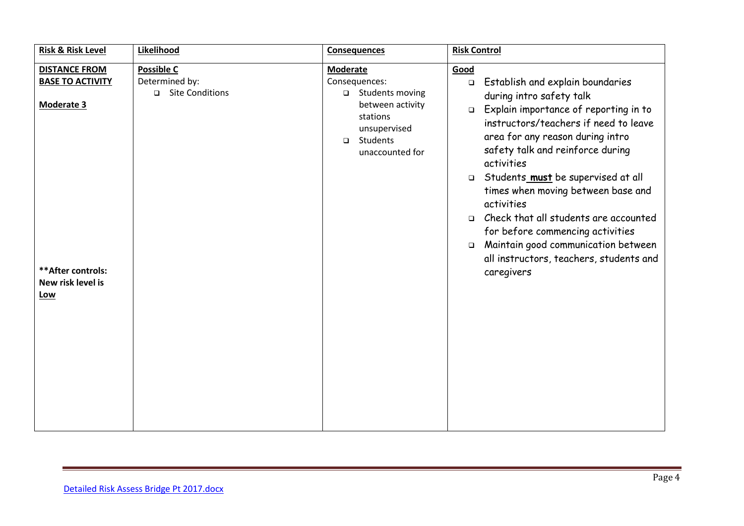| <b>Risk &amp; Risk Level</b>                                                                   | Likelihood                          | <b>Consequences</b>                                                                                                 | <b>Risk Control</b>                                                                                                                                                                                                                                                                                                                                                                                                                                                                                                                                           |  |
|------------------------------------------------------------------------------------------------|-------------------------------------|---------------------------------------------------------------------------------------------------------------------|---------------------------------------------------------------------------------------------------------------------------------------------------------------------------------------------------------------------------------------------------------------------------------------------------------------------------------------------------------------------------------------------------------------------------------------------------------------------------------------------------------------------------------------------------------------|--|
| <b>DISTANCE FROM</b>                                                                           | <b>Possible C</b>                   | <b>Moderate</b>                                                                                                     | Good                                                                                                                                                                                                                                                                                                                                                                                                                                                                                                                                                          |  |
| <b>BASE TO ACTIVITY</b><br><b>Moderate 3</b><br>** After controls:<br>New risk level is<br>Low | Determined by:<br>□ Site Conditions | Consequences:<br>□ Students moving<br>between activity<br>stations<br>unsupervised<br>□ Students<br>unaccounted for | Establish and explain boundaries<br>$\Box$<br>during intro safety talk<br>Explain importance of reporting in to<br>$\Box$<br>instructors/teachers if need to leave<br>area for any reason during intro<br>safety talk and reinforce during<br>activities<br>Students_must be supervised at all<br>$\Box$<br>times when moving between base and<br>activities<br>Check that all students are accounted<br>$\Box$<br>for before commencing activities<br>Maintain good communication between<br>$\Box$<br>all instructors, teachers, students and<br>caregivers |  |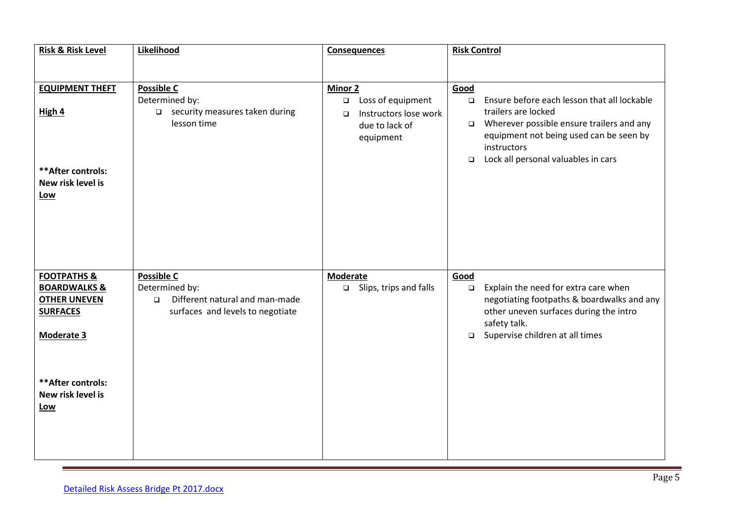| <b>Risk &amp; Risk Level</b>                      | Likelihood                                      | <b>Consequences</b>                         | <b>Risk Control</b>                                                                                       |  |
|---------------------------------------------------|-------------------------------------------------|---------------------------------------------|-----------------------------------------------------------------------------------------------------------|--|
|                                                   |                                                 |                                             |                                                                                                           |  |
| <b>EQUIPMENT THEFT</b>                            | <b>Possible C</b>                               | Minor 2                                     | Good                                                                                                      |  |
|                                                   | Determined by:                                  | Loss of equipment<br>$\Box$                 | Ensure before each lesson that all lockable<br>$\Box$                                                     |  |
| High 4                                            | □ security measures taken during<br>lesson time | Instructors lose work<br>$\Box$             | trailers are locked                                                                                       |  |
|                                                   |                                                 | due to lack of<br>equipment                 | Wherever possible ensure trailers and any<br>Ō.<br>equipment not being used can be seen by<br>instructors |  |
|                                                   |                                                 |                                             | Lock all personal valuables in cars<br>$\Box$                                                             |  |
| ** After controls:                                |                                                 |                                             |                                                                                                           |  |
| New risk level is                                 |                                                 |                                             |                                                                                                           |  |
| Low                                               |                                                 |                                             |                                                                                                           |  |
|                                                   |                                                 |                                             |                                                                                                           |  |
|                                                   |                                                 |                                             |                                                                                                           |  |
|                                                   |                                                 |                                             |                                                                                                           |  |
|                                                   |                                                 |                                             |                                                                                                           |  |
| <b>FOOTPATHS &amp;</b><br><b>BOARDWALKS &amp;</b> | <b>Possible C</b><br>Determined by:             | <b>Moderate</b><br>□ Slips, trips and falls | Good<br>Explain the need for extra care when<br>$\Box$                                                    |  |
| <b>OTHER UNEVEN</b>                               | Different natural and man-made<br>$\Box$        |                                             | negotiating footpaths & boardwalks and any                                                                |  |
| <b>SURFACES</b>                                   | surfaces and levels to negotiate                |                                             | other uneven surfaces during the intro                                                                    |  |
|                                                   |                                                 |                                             | safety talk.                                                                                              |  |
| Moderate 3                                        |                                                 |                                             | Supervise children at all times<br>$\Box$                                                                 |  |
|                                                   |                                                 |                                             |                                                                                                           |  |
|                                                   |                                                 |                                             |                                                                                                           |  |
| ** After controls:<br>New risk level is           |                                                 |                                             |                                                                                                           |  |
| <b>Low</b>                                        |                                                 |                                             |                                                                                                           |  |
|                                                   |                                                 |                                             |                                                                                                           |  |
|                                                   |                                                 |                                             |                                                                                                           |  |
|                                                   |                                                 |                                             |                                                                                                           |  |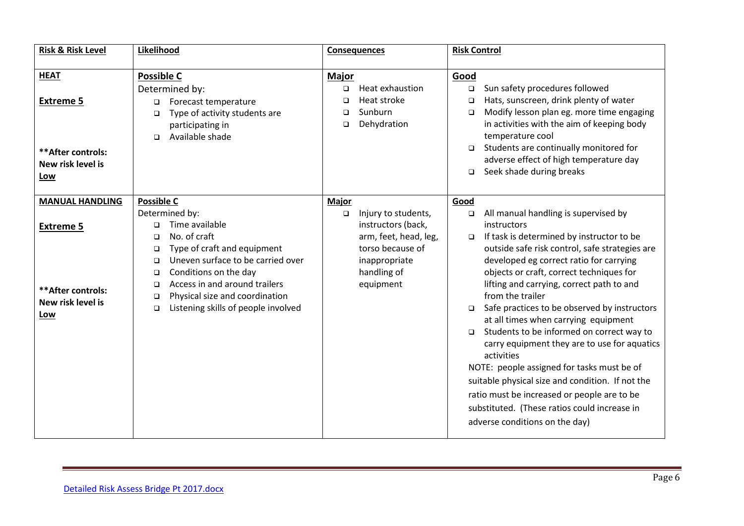| <b>Risk &amp; Risk Level</b>                                       | Likelihood                                                                                                                                                                                                                                                                                                               | <b>Consequences</b>                                                                                                                           | <b>Risk Control</b>                                                                                                                                                                                                                                                                                                                                                                                                                                                                                                                                                                                                                                                                                                                                                            |
|--------------------------------------------------------------------|--------------------------------------------------------------------------------------------------------------------------------------------------------------------------------------------------------------------------------------------------------------------------------------------------------------------------|-----------------------------------------------------------------------------------------------------------------------------------------------|--------------------------------------------------------------------------------------------------------------------------------------------------------------------------------------------------------------------------------------------------------------------------------------------------------------------------------------------------------------------------------------------------------------------------------------------------------------------------------------------------------------------------------------------------------------------------------------------------------------------------------------------------------------------------------------------------------------------------------------------------------------------------------|
| <b>HEAT</b>                                                        | <b>Possible C</b>                                                                                                                                                                                                                                                                                                        | <b>Major</b>                                                                                                                                  | Good                                                                                                                                                                                                                                                                                                                                                                                                                                                                                                                                                                                                                                                                                                                                                                           |
| <b>Extreme 5</b>                                                   | Determined by:<br>Forecast temperature<br>$\Box$<br>Type of activity students are<br>$\Box$<br>participating in<br>Available shade<br>$\Box$                                                                                                                                                                             | Heat exhaustion<br>$\Box$<br>Heat stroke<br>□<br>Sunburn<br>□<br>Dehydration<br>$\Box$                                                        | Sun safety procedures followed<br>$\Box$<br>Hats, sunscreen, drink plenty of water<br>$\Box$<br>Modify lesson plan eg. more time engaging<br>$\Box$<br>in activities with the aim of keeping body<br>temperature cool                                                                                                                                                                                                                                                                                                                                                                                                                                                                                                                                                          |
| ** After controls:<br>New risk level is<br>Low                     |                                                                                                                                                                                                                                                                                                                          |                                                                                                                                               | Students are continually monitored for<br>$\Box$<br>adverse effect of high temperature day<br>Seek shade during breaks<br>$\Box$                                                                                                                                                                                                                                                                                                                                                                                                                                                                                                                                                                                                                                               |
| <b>MANUAL HANDLING</b>                                             | <b>Possible C</b>                                                                                                                                                                                                                                                                                                        | <b>Major</b>                                                                                                                                  | Good                                                                                                                                                                                                                                                                                                                                                                                                                                                                                                                                                                                                                                                                                                                                                                           |
| <b>Extreme 5</b><br>** After controls:<br>New risk level is<br>Low | Determined by:<br>Time available<br>$\Box$<br>No. of craft<br>$\Box$<br>Type of craft and equipment<br>□<br>Uneven surface to be carried over<br>□<br>Conditions on the day<br>$\Box$<br>Access in and around trailers<br>□<br>Physical size and coordination<br>$\Box$<br>Listening skills of people involved<br>$\Box$ | Injury to students,<br>$\Box$<br>instructors (back,<br>arm, feet, head, leg,<br>torso because of<br>inappropriate<br>handling of<br>equipment | All manual handling is supervised by<br>$\Box$<br>instructors<br>If task is determined by instructor to be<br>$\Box$<br>outside safe risk control, safe strategies are<br>developed eg correct ratio for carrying<br>objects or craft, correct techniques for<br>lifting and carrying, correct path to and<br>from the trailer<br>Safe practices to be observed by instructors<br>at all times when carrying equipment<br>Students to be informed on correct way to<br>$\Box$<br>carry equipment they are to use for aquatics<br>activities<br>NOTE: people assigned for tasks must be of<br>suitable physical size and condition. If not the<br>ratio must be increased or people are to be<br>substituted. (These ratios could increase in<br>adverse conditions on the day) |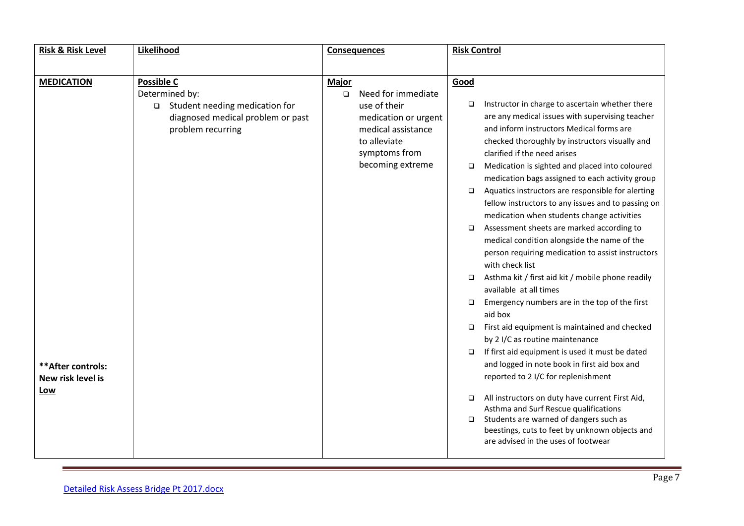| <b>Risk &amp; Risk Level</b>            | Likelihood                               | <b>Consequences</b> |                                   | <b>Risk Control</b> |                                                                                                   |
|-----------------------------------------|------------------------------------------|---------------------|-----------------------------------|---------------------|---------------------------------------------------------------------------------------------------|
|                                         |                                          |                     |                                   |                     |                                                                                                   |
| <b>MEDICATION</b>                       | <b>Possible C</b>                        | <b>Major</b>        |                                   | Good                |                                                                                                   |
|                                         | Determined by:                           | $\Box$              | Need for immediate                |                     |                                                                                                   |
|                                         | Student needing medication for<br>$\Box$ |                     | use of their                      | □                   | Instructor in charge to ascertain whether there                                                   |
|                                         | diagnosed medical problem or past        |                     | medication or urgent              |                     | are any medical issues with supervising teacher                                                   |
|                                         | problem recurring                        |                     | medical assistance                |                     | and inform instructors Medical forms are                                                          |
|                                         |                                          |                     | to alleviate                      |                     | checked thoroughly by instructors visually and                                                    |
|                                         |                                          |                     | symptoms from<br>becoming extreme |                     | clarified if the need arises                                                                      |
|                                         |                                          |                     |                                   | □                   | Medication is sighted and placed into coloured<br>medication bags assigned to each activity group |
|                                         |                                          |                     |                                   | $\Box$              | Aquatics instructors are responsible for alerting                                                 |
|                                         |                                          |                     |                                   |                     | fellow instructors to any issues and to passing on                                                |
|                                         |                                          |                     |                                   |                     | medication when students change activities                                                        |
|                                         |                                          |                     |                                   | $\Box$              | Assessment sheets are marked according to                                                         |
|                                         |                                          |                     |                                   |                     | medical condition alongside the name of the                                                       |
|                                         |                                          |                     |                                   |                     | person requiring medication to assist instructors<br>with check list                              |
|                                         |                                          |                     |                                   | $\Box$              | Asthma kit / first aid kit / mobile phone readily<br>available at all times                       |
|                                         |                                          |                     |                                   | □                   | Emergency numbers are in the top of the first<br>aid box                                          |
|                                         |                                          |                     |                                   | □                   | First aid equipment is maintained and checked                                                     |
|                                         |                                          |                     |                                   |                     | by 2 I/C as routine maintenance<br>If first aid equipment is used it must be dated                |
|                                         |                                          |                     |                                   | ▫                   | and logged in note book in first aid box and                                                      |
| ** After controls:<br>New risk level is |                                          |                     |                                   |                     | reported to 2 I/C for replenishment                                                               |
| Low                                     |                                          |                     |                                   | $\Box$              | All instructors on duty have current First Aid,                                                   |
|                                         |                                          |                     |                                   |                     | Asthma and Surf Rescue qualifications                                                             |
|                                         |                                          |                     |                                   | ▫                   | Students are warned of dangers such as                                                            |
|                                         |                                          |                     |                                   |                     | beestings, cuts to feet by unknown objects and<br>are advised in the uses of footwear             |
|                                         |                                          |                     |                                   |                     |                                                                                                   |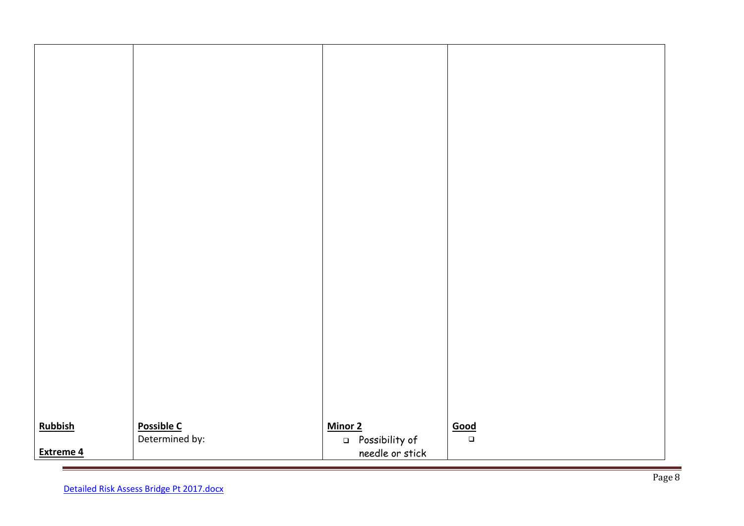| Possible C<br>Determined by:<br><b>Rubbish</b><br>Minor 2<br>Good<br>D Possibility of<br>$\Box$ |  |
|-------------------------------------------------------------------------------------------------|--|